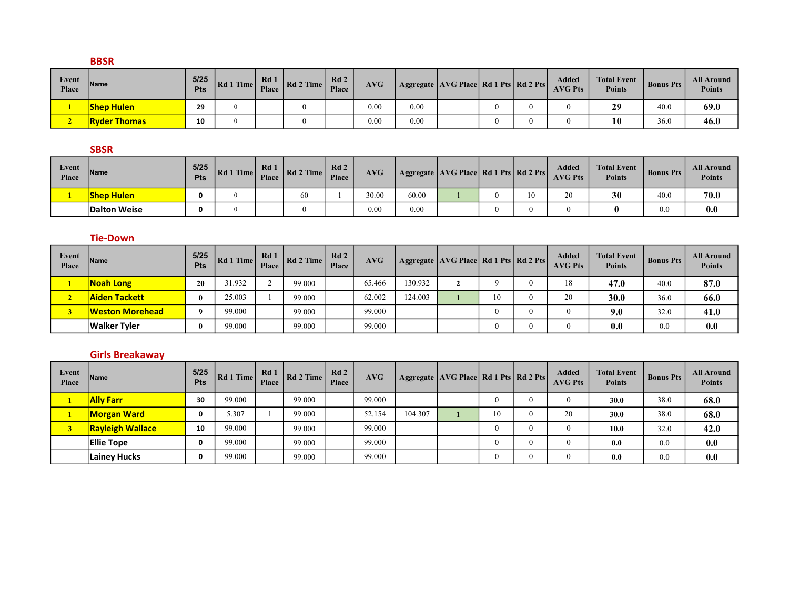### BBSR

| Event<br><b>Place</b> | <b>Name</b>         | 5/25<br><b>Pts</b> | Rd1<br>$T$ Time | Rd 1<br>Place | Rd 2 Time | Rd2<br><b>Place</b> | AVG  |      | Aggregate   AVG Place   Rd 1 Pts   Rd 2 Pts |          | Added<br><b>AVG Pts</b> | <b>Total Event</b><br><b>Points</b> | <b>Bonus Pts</b> | <b>All Around</b><br><b>Points</b> |
|-----------------------|---------------------|--------------------|-----------------|---------------|-----------|---------------------|------|------|---------------------------------------------|----------|-------------------------|-------------------------------------|------------------|------------------------------------|
|                       | <b>Shep Hulen</b>   | 29                 | $\Omega$        |               |           |                     | 0.00 | 0.00 |                                             | 0        |                         | 29                                  | 40.0             | 69.0                               |
|                       | <b>Ryder Thomas</b> | 10                 | $^{\circ}$      |               |           |                     | 0.00 | 0.00 |                                             | $\theta$ |                         | 10                                  | 36.0             | 46.0                               |

### SBSR

| Event<br>Place | lName⊦            | 5/25<br><b>Pts</b> | $\overline{ }$ Time<br> Rd1 | Rd1<br><b>Place</b> | Rd 2 Time | Rd2<br><b>Place</b> | AVG   | Aggregate   AVG Place   Rd 1 Pts   Rd 2 Pts |  |    | <b>Added</b><br><b>AVG Pts</b> | <b>Total Event</b><br><b>Points</b> | <b>Bonus Pts</b> | <b>All Around</b><br><b>Points</b> |
|----------------|-------------------|--------------------|-----------------------------|---------------------|-----------|---------------------|-------|---------------------------------------------|--|----|--------------------------------|-------------------------------------|------------------|------------------------------------|
|                | <b>Shep Hulen</b> |                    |                             |                     | 60        |                     | 30.00 | 60.00                                       |  | 10 | 20                             | 30                                  | 40.0             | 70.0                               |
|                | Dalton Weise      |                    |                             |                     |           |                     | 0.00  | 0.00                                        |  |    | $\mathbf{I}$                   |                                     | 0.0              | 0.0                                |

### Tie-Down

| Event<br>Place | <b>Name</b>         | $5/25$<br>Pts | Rd 1 Time | Rd 1<br><b>Place</b> | Rd 2 Time | Rd2<br>Place | <b>AVG</b> |         | Aggregate   AVG Place   Rd 1 Pts   Rd 2 Pts |    | <b>Added</b><br><b>AVG Pts</b> | <b>Total Event</b><br><b>Points</b> | <b>Bonus Pts</b> | <b>All Around</b><br><b>Points</b> |
|----------------|---------------------|---------------|-----------|----------------------|-----------|--------------|------------|---------|---------------------------------------------|----|--------------------------------|-------------------------------------|------------------|------------------------------------|
|                | <b>Noah Long</b>    | 20            | 31.932    |                      | 99.000    |              | 65.466     | 130.932 |                                             |    | 18                             | 47.0                                | 40.0             | 87.0                               |
| ∼              | Aiden Tackett       | $\mathbf{0}$  | 25.003    |                      | 99.000    |              | 62.002     | 124.003 |                                             | 10 | 20                             | 30.0                                | 36.0             | 66.0                               |
|                | Weston Morehead     | $\Omega$      | 99.000    |                      | 99.000    |              | 99.000     |         |                                             |    |                                | 9.0                                 | 32.0             | 41.0                               |
|                | <b>Walker Tyler</b> | 0             | 99.000    |                      | 99.000    |              | 99.000     |         |                                             | -0 |                                | 0.0                                 | 0.0              | 0.0                                |

### Girls Breakaway

| Event<br>Place | Name                    | $5/25$<br>Pts | Rd 1 Time | Rd1<br>Place | Rd 2 Time | Rd2<br>Place | AVG    |         | Aggregate   AVG Place   Rd 1 Pts   Rd 2 Pts |    | <b>Added</b><br><b>AVG Pts</b> | <b>Total Event</b><br><b>Points</b> | <b>Bonus Pts</b> | <b>All Around</b><br><b>Points</b> |
|----------------|-------------------------|---------------|-----------|--------------|-----------|--------------|--------|---------|---------------------------------------------|----|--------------------------------|-------------------------------------|------------------|------------------------------------|
|                | <b>Ally Farr</b>        | 30            | 99.000    |              | 99.000    |              | 99.000 |         |                                             |    | $\left($                       | 30.0                                | 38.0             | 68.0                               |
|                | <b>Morgan Ward</b>      | 0             | 5.307     |              | 99.000    |              | 52.154 | 104.307 |                                             | 10 | 20                             | 30.0                                | 38.0             | 68.0                               |
|                | <b>Rayleigh Wallace</b> | 10            | 99.000    |              | 99.000    |              | 99.000 |         |                                             |    | $\left($                       | 10.0                                | 32.0             | 42.0                               |
|                | <b>Ellie Tope</b>       | 0             | 99.000    |              | 99.000    |              | 99.000 |         |                                             |    | $\theta$                       | 0.0                                 | 0.0              | 0.0                                |
|                | Lainey Hucks            | 0             | 99.000    |              | 99.000    |              | 99.000 |         |                                             | υ  | $\theta$                       | 0.0                                 | 0.0              | 0.0                                |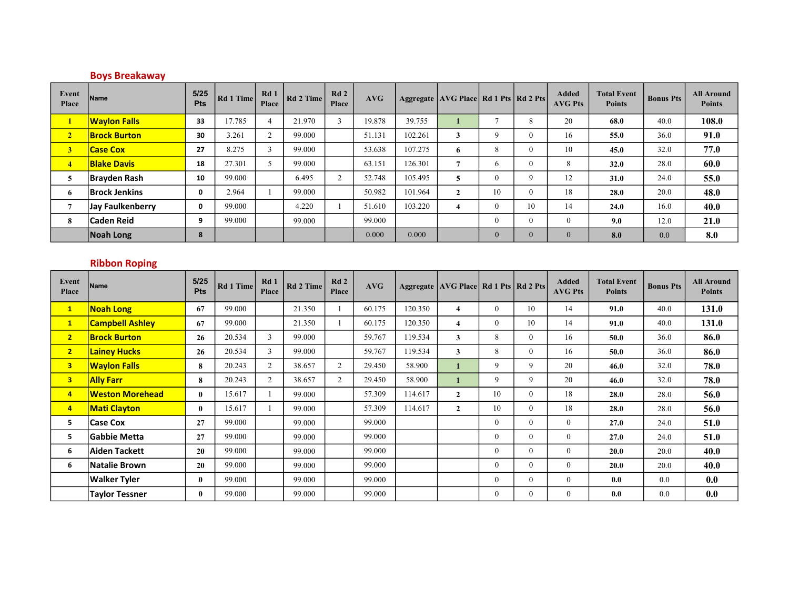# Boys Breakaway

| Event<br>Place          | <b>Name</b>          | 5/25<br><b>Pts</b> | Rd 1 Time | Rd1<br>Place | Rd 2 Time | Rd2<br>Place | AVG    |         | Aggregate   AVG Place   Rd 1 Pts   Rd 2 Pts |                |                | <b>Added</b><br><b>AVG Pts</b> | <b>Total Event</b><br><b>Points</b> | <b>Bonus Pts</b> | <b>All Around</b><br><b>Points</b> |
|-------------------------|----------------------|--------------------|-----------|--------------|-----------|--------------|--------|---------|---------------------------------------------|----------------|----------------|--------------------------------|-------------------------------------|------------------|------------------------------------|
| $\mathbf{1}$            | <b>Waylon Falls</b>  | 33                 | 17.785    | 4            | 21.970    |              | 19.878 | 39.755  |                                             | $\overline{a}$ | 8              | 20                             | 68.0                                | 40.0             | 108.0                              |
| $\overline{2}$          | <b>Brock Burton</b>  | 30                 | 3.261     | $\sim$<br>∠  | 99.000    |              | 51.131 | 102.261 | 3                                           | $\mathbf Q$    | $\overline{0}$ | 16                             | 55.0                                | 36.0             | 91.0                               |
| $\overline{\mathbf{3}}$ | <b>Case Cox</b>      | 27                 | 8.275     | $\sim$       | 99.000    |              | 53.638 | 107.275 | 6                                           | 8              | $\overline{0}$ | 10                             | 45.0                                | 32.0             | 77.0                               |
| $\overline{4}$          | <b>Blake Davis</b>   | 18                 | 27.301    |              | 99.000    |              | 63.151 | 126.301 |                                             | b              | $\mathbf{0}$   | 8                              | 32.0                                | 28.0             | 60.0                               |
| 5                       | <b>Brayden Rash</b>  | 10                 | 99.000    |              | 6.495     |              | 52.748 | 105.495 | 5                                           | $\theta$       | 9              | 12                             | 31.0                                | 24.0             | 55.0                               |
| 6                       | <b>Brock Jenkins</b> | 0                  | 2.964     |              | 99.000    |              | 50.982 | 101.964 | $\mathbf{2}$                                | 10             | $\mathbf{0}$   | 18                             | 28.0                                | 20.0             | 48.0                               |
| $\overline{7}$          | Jay Faulkenberry     | 0                  | 99.000    |              | 4.220     |              | 51.610 | 103.220 | 4                                           | $\theta$       | 10             | 14                             | 24.0                                | 16.0             | 40.0                               |
| 8                       | <b>Caden Reid</b>    | 9                  | 99.000    |              | 99.000    |              | 99.000 |         |                                             | $\theta$       | $\mathbf{0}$   | $\mathbf{0}$                   | 9.0                                 | 12.0             | 21.0                               |
|                         | Noah Long            | 8                  |           |              |           |              | 0.000  | 0.000   |                                             | $\theta$       | $\mathbf{0}$   | $\mathbf{0}$                   | 8.0                                 | 0.0              | 8.0                                |

# Ribbon Roping

| <b>Event</b><br>Place   | Name                   | 5/25<br>Pts  | Rd 1 Time | Rd1<br>Place   | Rd 2 Time | Rd2<br>Place | AVG    |         | Aggregate AVG Place Rd 1 Pts Rd 2 Pts |                |                | <b>Added</b><br><b>AVG Pts</b> | <b>Total Event</b><br><b>Points</b> | <b>Bonus Pts</b> | <b>All Around</b><br><b>Points</b> |
|-------------------------|------------------------|--------------|-----------|----------------|-----------|--------------|--------|---------|---------------------------------------|----------------|----------------|--------------------------------|-------------------------------------|------------------|------------------------------------|
| $\mathbf{1}$            | <b>Noah Long</b>       | 67           | 99.000    |                | 21.350    |              | 60.175 | 120.350 | $\overline{4}$                        | $\overline{0}$ | 10             | 14                             | 91.0                                | 40.0             | 131.0                              |
| $\mathbf{1}$            | <b>Campbell Ashley</b> | 67           | 99.000    |                | 21.350    |              | 60.175 | 120.350 | 4                                     | $\overline{0}$ | 10             | 14                             | 91.0                                | 40.0             | 131.0                              |
| 2 <sub>1</sub>          | <b>Brock Burton</b>    | 26           | 20.534    | 3              | 99.000    |              | 59.767 | 119.534 | 3                                     | 8              | $\overline{0}$ | 16                             | 50.0                                | 36.0             | 86.0                               |
| 2 <sub>1</sub>          | <b>Lainey Hucks</b>    | 26           | 20.534    | 3              | 99.000    |              | 59.767 | 119.534 | 3                                     | 8              | $\overline{0}$ | 16                             | 50.0                                | 36.0             | 86.0                               |
| 3 <sup>7</sup>          | <b>Waylon Falls</b>    | 8            | 20.243    | $\overline{2}$ | 38.657    | 2            | 29.450 | 58.900  |                                       | 9              | 9              | 20                             | 46.0                                | 32.0             | 78.0                               |
| $\overline{\mathbf{3}}$ | <b>Ally Farr</b>       | 8            | 20.243    | 2              | 38.657    | 2            | 29.450 | 58.900  |                                       | 9              | 9              | 20                             | 46.0                                | 32.0             | 78.0                               |
| $\overline{4}$          | <b>Weston Morehead</b> | $\mathbf{0}$ | 15.617    |                | 99.000    |              | 57.309 | 114.617 | $\mathbf{2}$                          | 10             | $\overline{0}$ | 18                             | 28.0                                | 28.0             | 56.0                               |
| $\overline{4}$          | <b>Mati Clayton</b>    | $\bf{0}$     | 15.617    |                | 99.000    |              | 57.309 | 114.617 | $\mathbf{2}$                          | 10             | $\overline{0}$ | 18                             | 28.0                                | 28.0             | 56.0                               |
| 5                       | <b>Case Cox</b>        | 27           | 99.000    |                | 99.000    |              | 99.000 |         |                                       | $\overline{0}$ | $\overline{0}$ | $\overline{0}$                 | 27.0                                | 24.0             | 51.0                               |
| 5                       | <b>Gabbie Metta</b>    | 27           | 99.000    |                | 99.000    |              | 99.000 |         |                                       | $\mathbf{0}$   | $\overline{0}$ | $\overline{0}$                 | 27.0                                | 24.0             | 51.0                               |
| 6                       | Aiden Tackett          | 20           | 99.000    |                | 99.000    |              | 99.000 |         |                                       | $\mathbf{0}$   | $\overline{0}$ | $\overline{0}$                 | 20.0                                | 20.0             | 40.0                               |
| 6                       | <b>Natalie Brown</b>   | 20           | 99.000    |                | 99.000    |              | 99.000 |         |                                       | $\overline{0}$ | $\mathbf{0}$   | $\overline{0}$                 | 20.0                                | 20.0             | 40.0                               |
|                         | <b>Walker Tyler</b>    | $\mathbf{0}$ | 99.000    |                | 99.000    |              | 99.000 |         |                                       | $\mathbf{0}$   | $\overline{0}$ | $\overline{0}$                 | 0.0                                 | 0.0              | 0.0                                |
|                         | <b>Taylor Tessner</b>  | $\mathbf{0}$ | 99.000    |                | 99.000    |              | 99.000 |         |                                       | $\overline{0}$ | $\overline{0}$ | $\overline{0}$                 | 0.0                                 | 0.0              | 0.0                                |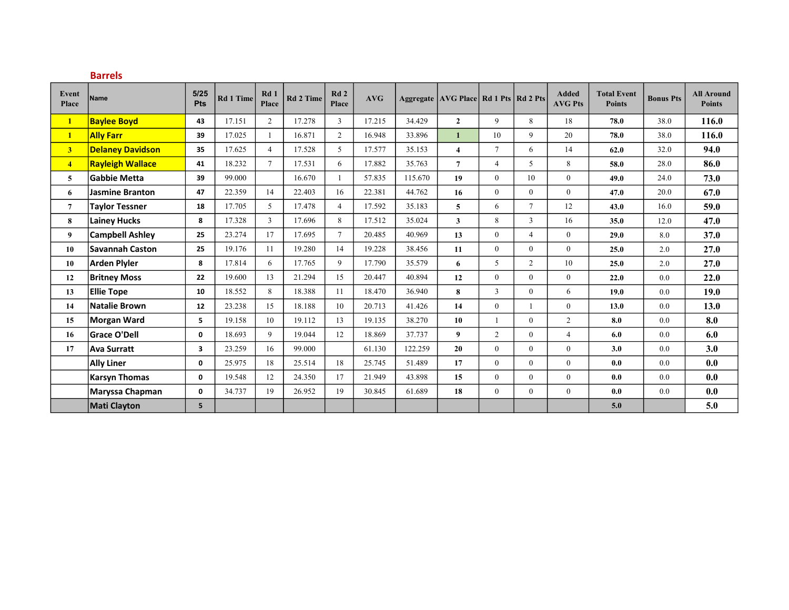|                       | <b>Barrels</b>          |              |                  |                |                  |                |        |         |                                             |                |                |                                |                                     |                  |                                    |
|-----------------------|-------------------------|--------------|------------------|----------------|------------------|----------------|--------|---------|---------------------------------------------|----------------|----------------|--------------------------------|-------------------------------------|------------------|------------------------------------|
| Event<br><b>Place</b> | <b>Name</b>             | 5/25<br>Pts  | <b>Rd 1 Time</b> | Rd1<br>Place   | <b>Rd 2 Time</b> | Rd2<br>Place   | AVG    |         | Aggregate   AVG Place   Rd 1 Pts   Rd 2 Pts |                |                | <b>Added</b><br><b>AVG Pts</b> | <b>Total Event</b><br><b>Points</b> | <b>Bonus Pts</b> | <b>All Around</b><br><b>Points</b> |
| $\mathbf{1}$          | <b>Baylee Boyd</b>      | 43           | 17.151           | $\overline{2}$ | 17.278           | 3              | 17.215 | 34.429  | $\mathbf{2}$                                | 9              | 8              | 18                             | 78.0                                | 38.0             | 116.0                              |
| $\mathbf{1}$          | <b>Ally Farr</b>        | 39           | 17.025           |                | 16.871           | $\overline{2}$ | 16.948 | 33.896  | 1                                           | 10             | 9              | 20                             | 78.0                                | 38.0             | 116.0                              |
| 3 <sup>1</sup>        | <b>Delaney Davidson</b> | 35           | 17.625           | $\overline{4}$ | 17.528           | 5              | 17.577 | 35.153  | $\overline{\mathbf{4}}$                     | $\tau$         | 6              | 14                             | 62.0                                | 32.0             | 94.0                               |
| $\overline{4}$        | <b>Rayleigh Wallace</b> | 41           | 18.232           | $\tau$         | 17.531           | 6              | 17.882 | 35.763  | $\overline{7}$                              | $\overline{4}$ | 5              | 8                              | 58.0                                | 28.0             | 86.0                               |
| 5                     | <b>Gabbie Metta</b>     | 39           | 99.000           |                | 16.670           |                | 57.835 | 115.670 | 19                                          | $\theta$       | 10             | $\overline{0}$                 | 49.0                                | 24.0             | 73.0                               |
| 6                     | <b>Jasmine Branton</b>  | 47           | 22.359           | 14             | 22.403           | 16             | 22.381 | 44.762  | 16                                          | $\overline{0}$ | $\overline{0}$ | $\overline{0}$                 | 47.0                                | 20.0             | 67.0                               |
| $\overline{7}$        | <b>Taylor Tessner</b>   | 18           | 17.705           | 5 <sup>5</sup> | 17.478           | $\overline{4}$ | 17.592 | 35.183  | 5 <sup>5</sup>                              | 6              | $\tau$         | 12                             | 43.0                                | 16.0             | 59.0                               |
| 8                     | <b>Lainey Hucks</b>     | 8            | 17.328           | $\overline{3}$ | 17.696           | 8              | 17.512 | 35.024  | $\mathbf{3}$                                | 8              | 3              | 16                             | 35.0                                | 12.0             | 47.0                               |
| 9                     | <b>Campbell Ashley</b>  | 25           | 23.274           | 17             | 17.695           | $\overline{7}$ | 20.485 | 40.969  | 13                                          | $\theta$       | $\overline{4}$ | $\mathbf{0}$                   | 29.0                                | 8.0              | 37.0                               |
| 10                    | <b>Savannah Caston</b>  | 25           | 19.176           | 11             | 19.280           | 14             | 19.228 | 38.456  | 11                                          | $\overline{0}$ | $\overline{0}$ | $\overline{0}$                 | 25.0                                | 2.0              | 27.0                               |
| 10                    | <b>Arden Plyler</b>     | 8            | 17.814           | 6              | 17.765           | 9              | 17.790 | 35.579  | 6                                           | 5              | $\overline{2}$ | 10                             | 25.0                                | 2.0              | 27.0                               |
| 12                    | <b>Britney Moss</b>     | 22           | 19.600           | 13             | 21.294           | 15             | 20.447 | 40.894  | 12                                          | $\overline{0}$ | $\overline{0}$ | $\mathbf{0}$                   | 22.0                                | 0.0              | 22.0                               |
| 13                    | <b>Ellie Tope</b>       | 10           | 18.552           | 8              | 18.388           | 11             | 18.470 | 36.940  | 8                                           | 3              | $\overline{0}$ | 6                              | 19.0                                | 0.0              | 19.0                               |
| 14                    | <b>Natalie Brown</b>    | 12           | 23.238           | 15             | 18.188           | 10             | 20.713 | 41.426  | 14                                          | $\theta$       | 1              | $\overline{0}$                 | 13.0                                | 0.0              | 13.0                               |
| 15                    | Morgan Ward             | 5            | 19.158           | 10             | 19.112           | 13             | 19.135 | 38.270  | 10                                          |                | $\overline{0}$ | $\overline{2}$                 | 8.0                                 | 0.0              | 8.0                                |
| 16                    | <b>Grace O'Dell</b>     | $\mathbf 0$  | 18.693           | 9              | 19.044           | 12             | 18.869 | 37.737  | 9                                           | $\overline{2}$ | $\mathbf{0}$   | $\overline{4}$                 | 6.0                                 | 0.0              | 6.0                                |
| 17                    | <b>Ava Surratt</b>      | 3            | 23.259           | 16             | 99.000           |                | 61.130 | 122.259 | 20                                          | $\theta$       | $\mathbf{0}$   | $\mathbf{0}$                   | 3.0                                 | 0.0              | 3.0                                |
|                       | <b>Ally Liner</b>       | 0            | 25.975           | 18             | 25.514           | 18             | 25.745 | 51.489  | 17                                          | $\theta$       | $\overline{0}$ | $\mathbf{0}$                   | 0.0                                 | 0.0              | 0.0                                |
|                       | <b>Karsyn Thomas</b>    | $\mathbf{0}$ | 19.548           | 12             | 24.350           | 17             | 21.949 | 43.898  | 15                                          | $\theta$       | $\overline{0}$ | $\boldsymbol{0}$               | 0.0                                 | 0.0              | 0.0                                |
|                       | Maryssa Chapman         | 0            | 34.737           | 19             | 26.952           | 19             | 30.845 | 61.689  | 18                                          | $\overline{0}$ | $\overline{0}$ | $\boldsymbol{0}$               | 0.0                                 | 0.0              | 0.0                                |
|                       | <b>Mati Clayton</b>     | 5            |                  |                |                  |                |        |         |                                             |                |                |                                | $5.0$                               |                  | 5.0                                |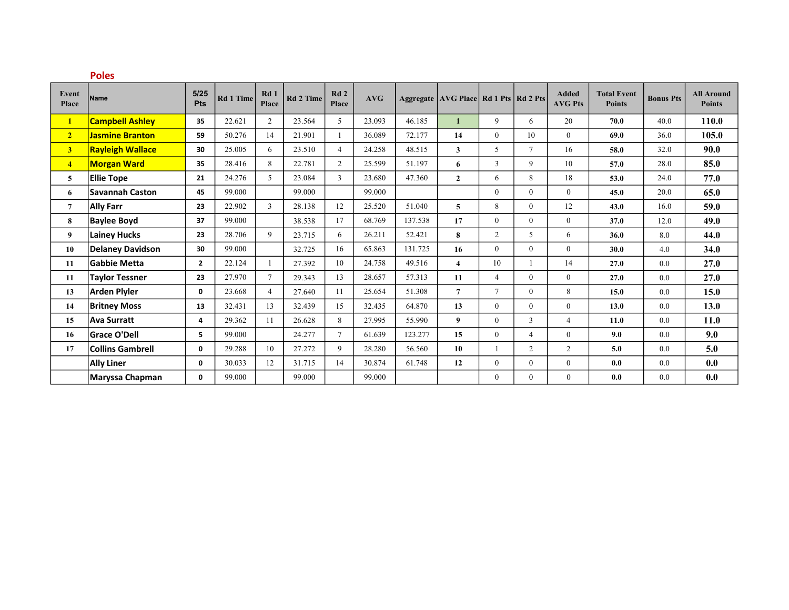|                       | <b>Poles</b>            |              |                  |                |                  |                |        |         |                                             |                |                |                                |                                     |                  |                                    |
|-----------------------|-------------------------|--------------|------------------|----------------|------------------|----------------|--------|---------|---------------------------------------------|----------------|----------------|--------------------------------|-------------------------------------|------------------|------------------------------------|
| Event<br><b>Place</b> | <b>Name</b>             | 5/25<br>Pts  | <b>Rd 1 Time</b> | Rd1<br>Place   | <b>Rd 2 Time</b> | Rd2<br>Place   | AVG    |         | Aggregate   AVG Place   Rd 1 Pts   Rd 2 Pts |                |                | <b>Added</b><br><b>AVG Pts</b> | <b>Total Event</b><br><b>Points</b> | <b>Bonus Pts</b> | <b>All Around</b><br><b>Points</b> |
| $\mathbf{1}$          | <b>Campbell Ashley</b>  | 35           | 22.621           | $\overline{2}$ | 23.564           | 5              | 23.093 | 46.185  | $\mathbf{1}$                                | 9              | 6              | 20                             | 70.0                                | 40.0             | 110.0                              |
| 2 <sub>1</sub>        | <b>Jasmine Branton</b>  | 59           | 50.276           | 14             | 21.901           |                | 36.089 | 72.177  | 14                                          | $\mathbf{0}$   | 10             | $\overline{0}$                 | 69.0                                | 36.0             | 105.0                              |
| 3 <sup>1</sup>        | <b>Rayleigh Wallace</b> | 30           | 25.005           | 6              | 23.510           | $\overline{4}$ | 24.258 | 48.515  | $\mathbf{3}$                                | 5              | $\tau$         | 16                             | 58.0                                | 32.0             | 90.0                               |
| $\overline{4}$        | <b>Morgan Ward</b>      | 35           | 28.416           | 8              | 22.781           | 2              | 25.599 | 51.197  | 6                                           | 3              | 9              | 10                             | 57.0                                | 28.0             | 85.0                               |
| 5                     | <b>Ellie Tope</b>       | 21           | 24.276           | 5 <sup>5</sup> | 23.084           | 3              | 23.680 | 47.360  | $\overline{2}$                              | 6              | 8              | 18                             | 53.0                                | 24.0             | 77.0                               |
| 6                     | <b>Savannah Caston</b>  | 45           | 99.000           |                | 99.000           |                | 99.000 |         |                                             | $\theta$       | $\theta$       | $\mathbf{0}$                   | 45.0                                | 20.0             | 65.0                               |
| $\overline{7}$        | <b>Ally Farr</b>        | 23           | 22.902           | $\overline{3}$ | 28.138           | 12             | 25.520 | 51.040  | 5                                           | 8              | $\overline{0}$ | 12                             | 43.0                                | 16.0             | 59.0                               |
| 8                     | <b>Baylee Boyd</b>      | 37           | 99.000           |                | 38.538           | 17             | 68.769 | 137.538 | 17                                          | $\theta$       | $\theta$       | $\theta$                       | 37.0                                | 12.0             | 49.0                               |
| 9                     | <b>Lainey Hucks</b>     | 23           | 28.706           | 9              | 23.715           | 6              | 26.211 | 52.421  | 8                                           | $\overline{c}$ | 5              | 6                              | 36.0                                | 8.0              | 44.0                               |
| 10                    | Delaney Davidson        | 30           | 99.000           |                | 32.725           | 16             | 65.863 | 131.725 | 16                                          | $\theta$       | $\overline{0}$ | $\mathbf{0}$                   | 30.0                                | 4.0              | 34.0                               |
| 11                    | <b>Gabbie Metta</b>     | $\mathbf{2}$ | 22.124           |                | 27.392           | 10             | 24.758 | 49.516  | $\overline{\mathbf{4}}$                     | 10             |                | 14                             | 27.0                                | 0.0              | 27.0                               |
| 11                    | <b>Taylor Tessner</b>   | 23           | 27.970           | $\tau$         | 29.343           | 13             | 28.657 | 57.313  | 11                                          | $\overline{4}$ | $\overline{0}$ | $\boldsymbol{0}$               | 27.0                                | 0.0              | 27.0                               |
| 13                    | <b>Arden Plyler</b>     | 0            | 23.668           | $\overline{4}$ | 27.640           | 11             | 25.654 | 51.308  | $\overline{7}$                              | $\tau$         | $\overline{0}$ | 8                              | 15.0                                | 0.0              | 15.0                               |
| 14                    | <b>Britney Moss</b>     | 13           | 32.431           | 13             | 32.439           | 15             | 32.435 | 64.870  | 13                                          | $\theta$       | $\theta$       | $\mathbf{0}$                   | 13.0                                | 0.0              | 13.0                               |
| 15                    | <b>Ava Surratt</b>      | 4            | 29.362           | 11             | 26.628           | 8              | 27.995 | 55.990  | 9                                           | $\mathbf{0}$   | 3              | $\overline{4}$                 | 11.0                                | 0.0              | <b>11.0</b>                        |
| 16                    | <b>Grace O'Dell</b>     | 5            | 99.000           |                | 24.277           | $\tau$         | 61.639 | 123.277 | 15                                          | $\theta$       | $\overline{4}$ | $\mathbf{0}$                   | 9.0                                 | 0.0              | 9.0                                |
| 17                    | <b>Collins Gambrell</b> | 0            | 29.288           | 10             | 27.272           | 9              | 28.280 | 56.560  | 10                                          |                | $\overline{c}$ | 2                              | 5.0                                 | 0.0              | 5.0                                |
|                       | <b>Ally Liner</b>       | 0            | 30.033           | 12             | 31.715           | 14             | 30.874 | 61.748  | 12                                          | $\theta$       | $\overline{0}$ | $\boldsymbol{0}$               | 0.0                                 | 0.0              | 0.0                                |
|                       | Maryssa Chapman         | 0            | 99.000           |                | 99.000           |                | 99.000 |         |                                             | $\theta$       | $\mathbf{0}$   | $\mathbf{0}$                   | 0.0                                 | 0.0              | 0.0                                |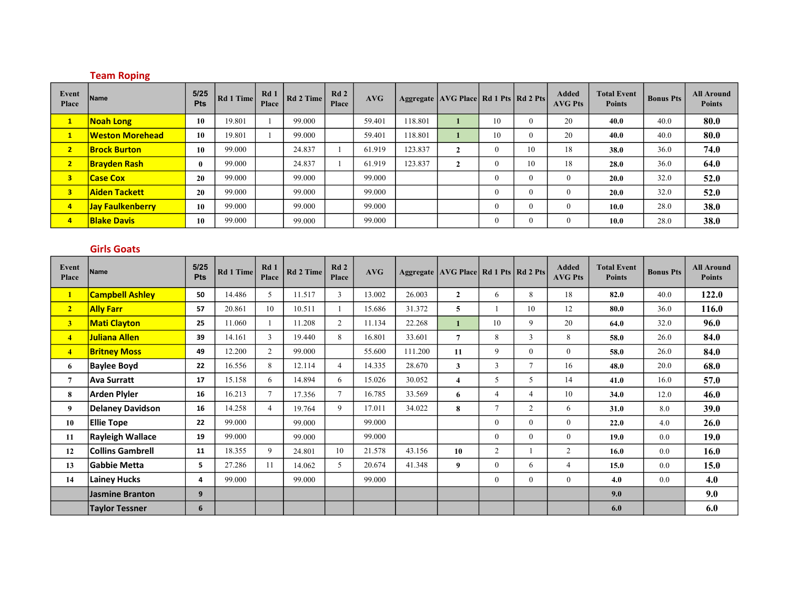### Team Roping

| Event<br>Place          | <b>Name</b>             | 5/25<br>Pts      | Rd 1 Time | Rd1<br>Place | Rd 2 Time | Rd2<br>Place | AVG    |         | Aggregate AVG Place Rd 1 Pts Rd 2 Pts |              |                | <b>Added</b><br><b>AVG Pts</b> | <b>Total Event</b><br><b>Points</b> | <b>Bonus Pts</b> | <b>All Around</b><br><b>Points</b> |
|-------------------------|-------------------------|------------------|-----------|--------------|-----------|--------------|--------|---------|---------------------------------------|--------------|----------------|--------------------------------|-------------------------------------|------------------|------------------------------------|
| $\mathbf{1}$            | <b>Noah Long</b>        | 10               | 19.801    |              | 99.000    |              | 59.401 | 118.801 |                                       | 10           | $\overline{0}$ | 20                             | 40.0                                | 40.0             | 80.0                               |
| $\mathbf{1}$            | <b>Weston Morehead</b>  | 10               | 19.801    |              | 99.000    |              | 59.401 | 118.801 |                                       | 10           | $\mathbf{0}$   | 20                             | 40.0                                | 40.0             | 80.0                               |
| $\overline{2}$          | <b>Brock Burton</b>     | 10               | 99.000    |              | 24.837    |              | 61.919 | 123.837 | ▵                                     | $\mathbf{0}$ | 10             | 18                             | 38.0                                | 36.0             | 74.0                               |
| $\overline{2}$          | <b>Brayden Rash</b>     | $\boldsymbol{0}$ | 99.000    |              | 24.837    |              | 61.919 | 123.837 | L                                     | $\theta$     | 10             | 18                             | 28.0                                | 36.0             | 64.0                               |
| $\overline{\mathbf{3}}$ | <b>Case Cox</b>         | 20               | 99.000    |              | 99.000    |              | 99.000 |         |                                       | $\theta$     | $\mathbf{0}$   | $\theta$                       | 20.0                                | 32.0             | 52.0                               |
| $\overline{3}$          | <b>Aiden Tackett</b>    | 20               | 99.000    |              | 99.000    |              | 99.000 |         |                                       | $\mathbf{0}$ | $\mathbf{0}$   | $\mathbf{0}$                   | 20.0                                | 32.0             | 52.0                               |
| $\overline{4}$          | <b>Jay Faulkenberry</b> | 10               | 99.000    |              | 99.000    |              | 99.000 |         |                                       | $\theta$     | $\mathbf{0}$   | $\theta$                       | 10.0                                | 28.0             | 38.0                               |
| $\overline{4}$          | <b>Blake Davis</b>      | 10               | 99.000    |              | 99.000    |              | 99.000 |         |                                       | $\mathbf{0}$ | $\mathbf{0}$   | $\theta$                       | 10.0                                | 28.0             | 38.0                               |

# Girls Goats

| <b>Event</b><br>Place | <b>Name</b>             | 5/25<br>Pts | Rd 1 Time | Rd1<br>Place   | Rd 2 Time | Rd2<br>Place   | AVG    |         | Aggregate   AVG Place   Rd 1 Pts   Rd 2 Pts |                |                | <b>Added</b><br><b>AVG Pts</b> | <b>Total Event</b><br><b>Points</b> | <b>Bonus Pts</b> | <b>All Around</b><br><b>Points</b> |
|-----------------------|-------------------------|-------------|-----------|----------------|-----------|----------------|--------|---------|---------------------------------------------|----------------|----------------|--------------------------------|-------------------------------------|------------------|------------------------------------|
| $\mathbf{1}$          | <b>Campbell Ashley</b>  | 50          | 14.486    | 5              | 11.517    | $\mathbf{3}$   | 13.002 | 26.003  | $\overline{2}$                              | 6              | 8              | 18                             | 82.0                                | 40.0             | 122.0                              |
| 2 <sub>1</sub>        | <b>Ally Farr</b>        | 57          | 20.861    | 10             | 10.511    |                | 15.686 | 31.372  | 5                                           |                | 10             | 12                             | 80.0                                | 36.0             | 116.0                              |
| 3 <sup>1</sup>        | <b>Mati Clayton</b>     | 25          | 11.060    |                | 11.208    | $\overline{2}$ | 11.134 | 22.268  | 1                                           | 10             | 9              | 20                             | 64.0                                | 32.0             | 96.0                               |
| $\overline{4}$        | <b>Juliana Allen</b>    | 39          | 14.161    | 3              | 19.440    | 8              | 16.801 | 33.601  | $\overline{7}$                              | 8              | 3              | 8                              | 58.0                                | 26.0             | 84.0                               |
| $\overline{4}$        | <b>Britney Moss</b>     | 49          | 12.200    | $\overline{2}$ | 99.000    |                | 55.600 | 111.200 | 11                                          | 9              | $\overline{0}$ | $\overline{0}$                 | 58.0                                | 26.0             | 84.0                               |
| 6                     | <b>Baylee Boyd</b>      | 22          | 16.556    | 8              | 12.114    | 4              | 14.335 | 28.670  | 3                                           | 3              | $\overline{7}$ | 16                             | 48.0                                | 20.0             | 68.0                               |
| 7                     | Ava Surratt             | 17          | 15.158    | 6              | 14.894    | 6              | 15.026 | 30.052  | 4                                           | 5              | 5              | 14                             | 41.0                                | 16.0             | 57.0                               |
| 8                     | <b>Arden Plyler</b>     | 16          | 16.213    | 7              | 17.356    | $\overline{7}$ | 16.785 | 33.569  | 6                                           | $\overline{4}$ | 4              | 10                             | 34.0                                | 12.0             | 46.0                               |
| 9                     | Delaney Davidson        | 16          | 14.258    | $\overline{4}$ | 19.764    | 9              | 17.011 | 34.022  | 8                                           | $\tau$         | $\overline{2}$ | 6                              | 31.0                                | 8.0              | 39.0                               |
| 10                    | <b>Ellie Tope</b>       | 22          | 99.000    |                | 99.000    |                | 99.000 |         |                                             | $\theta$       | $\overline{0}$ | $\theta$                       | 22.0                                | 4.0              | 26.0                               |
| 11                    | <b>Rayleigh Wallace</b> | 19          | 99.000    |                | 99.000    |                | 99.000 |         |                                             | $\mathbf{0}$   | $\overline{0}$ | $\mathbf{0}$                   | 19.0                                | 0.0              | <b>19.0</b>                        |
| 12                    | <b>Collins Gambrell</b> | 11          | 18.355    | 9              | 24.801    | 10             | 21.578 | 43.156  | 10                                          | 2              |                | 2                              | 16.0                                | 0.0              | 16.0                               |
| 13                    | <b>Gabbie Metta</b>     | 5           | 27.286    | 11             | 14.062    | 5              | 20.674 | 41.348  | 9                                           | $\theta$       | 6              | $\overline{4}$                 | 15.0                                | 0.0              | 15.0                               |
| 14                    | <b>Lainey Hucks</b>     | 4           | 99.000    |                | 99.000    |                | 99.000 |         |                                             | $\mathbf{0}$   | $\mathbf{0}$   | $\mathbf{0}$                   | 4.0                                 | 0.0              | 4.0                                |
|                       | Jasmine Branton         | 9           |           |                |           |                |        |         |                                             |                |                |                                | 9.0                                 |                  | 9.0                                |
|                       | <b>Taylor Tessner</b>   | 6           |           |                |           |                |        |         |                                             |                |                |                                | 6.0                                 |                  | 6.0                                |